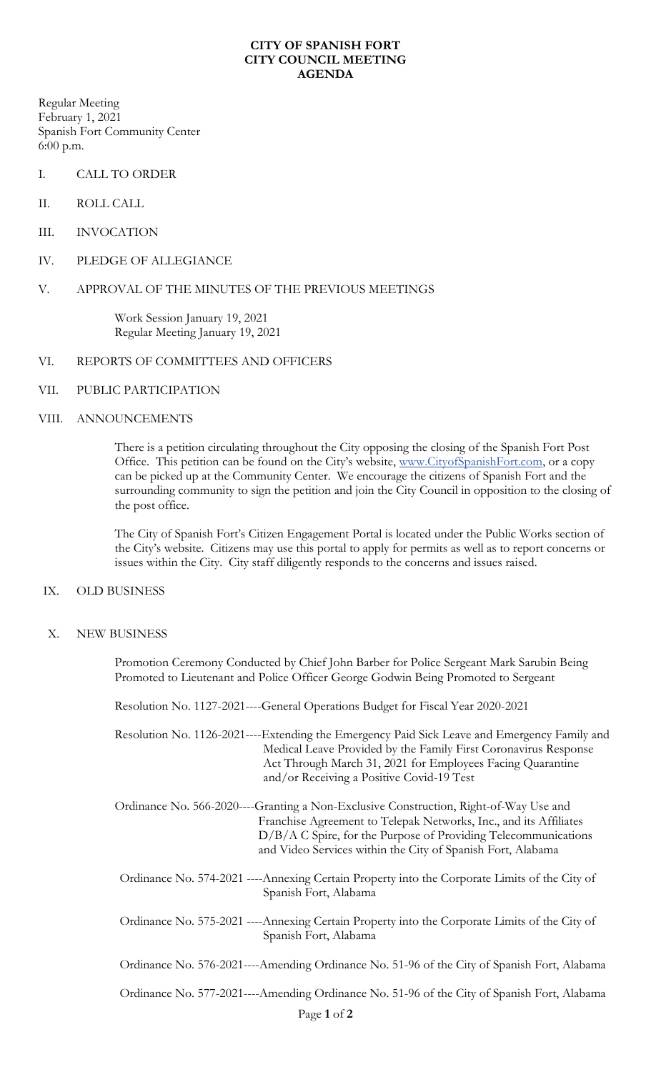### **CITY OF SPANISH FORT CITY COUNCIL MEETING AGENDA**

Regular Meeting February 1, 2021 Spanish Fort Community Center 6:00 p.m.

- I. CALL TO ORDER
- II. ROLL CALL
- III. INVOCATION
- IV. PLEDGE OF ALLEGIANCE

# V. APPROVAL OF THE MINUTES OF THE PREVIOUS MEETINGS

Work Session January 19, 2021 Regular Meeting January 19, 2021

## VI. REPORTS OF COMMITTEES AND OFFICERS

VII. PUBLIC PARTICIPATION

## VIII. ANNOUNCEMENTS

There is a petition circulating throughout the City opposing the closing of the Spanish Fort Post Office. This petition can be found on the City's website, [www.CityofSpanishFort.com,](http://www.cityofspanishfort.com/) or a copy can be picked up at the Community Center. We encourage the citizens of Spanish Fort and the surrounding community to sign the petition and join the City Council in opposition to the closing of the post office.

The City of Spanish Fort's Citizen Engagement Portal is located under the Public Works section of the City's website. Citizens may use this portal to apply for permits as well as to report concerns or issues within the City. City staff diligently responds to the concerns and issues raised.

## IX. OLD BUSINESS

X. NEW BUSINESS

Promotion Ceremony Conducted by Chief John Barber for Police Sergeant Mark Sarubin Being Promoted to Lieutenant and Police Officer George Godwin Being Promoted to Sergeant

Resolution No. 1127-2021----General Operations Budget for Fiscal Year 2020-2021

Resolution No. 1126-2021----Extending the Emergency Paid Sick Leave and Emergency Family and Medical Leave Provided by the Family First Coronavirus Response Act Through March 31, 2021 for Employees Facing Quarantine and/or Receiving a Positive Covid-19 Test

- Ordinance No. 566-2020----Granting a Non-Exclusive Construction, Right-of-Way Use and Franchise Agreement to Telepak Networks, Inc., and its Affiliates D/B/A C Spire, for the Purpose of Providing Telecommunications and Video Services within the City of Spanish Fort, Alabama
- Ordinance No. 574-2021 ----Annexing Certain Property into the Corporate Limits of the City of Spanish Fort, Alabama
- Ordinance No. 575-2021 ----Annexing Certain Property into the Corporate Limits of the City of Spanish Fort, Alabama
- Ordinance No. 576-2021----Amending Ordinance No. 51-96 of the City of Spanish Fort, Alabama

Ordinance No. 577-2021----Amending Ordinance No. 51-96 of the City of Spanish Fort, Alabama